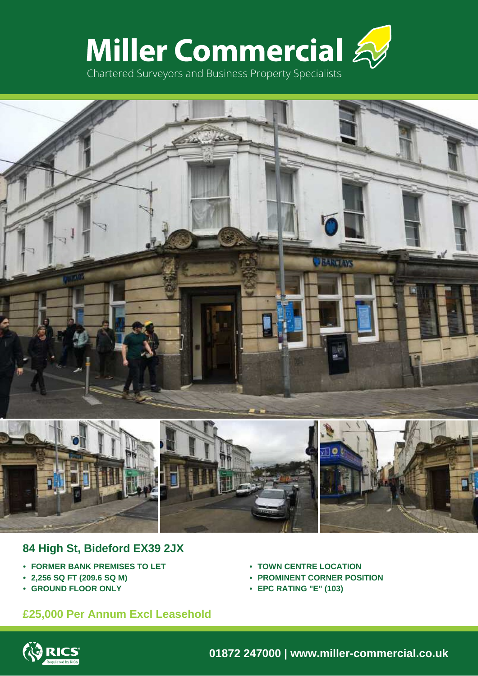



# **84 High St, Bideford EX39 2JX**

- **• FORMER BANK PREMISES TO LET**
- **• 2,256 SQ FT (209.6 SQ M)**
- **• GROUND FLOOR ONLY**
- **• TOWN CENTRE LOCATION**
- **• PROMINENT CORNER POSITION**
- **• EPC RATING "E" (103)**

# **£25,000 Per Annum Excl Leasehold**



**01872 247000 | www.miller-commercial.co.uk**